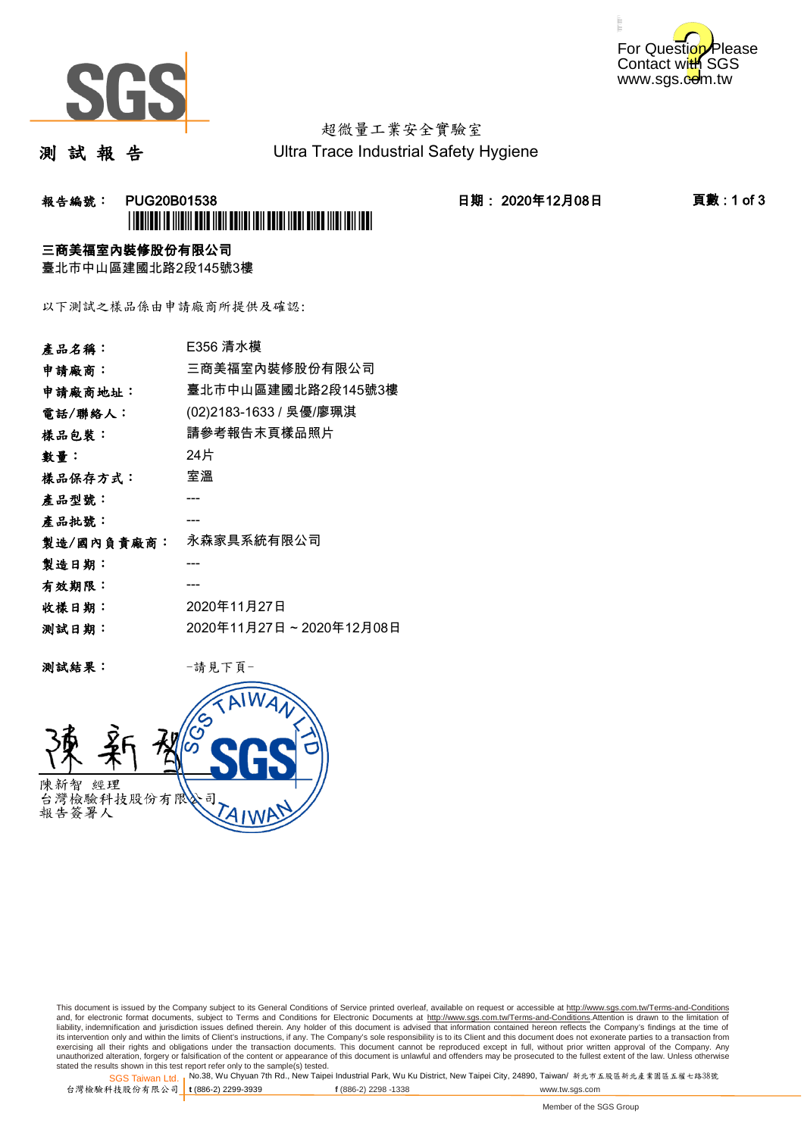



# 超微量工業安全實驗室

測 試 報 告

Ultra Trace Industrial Safety Hygiene

## 報告編號: PUG20B01538 日期: 2020年12月08日 頁數 : 1 of 3 \*PUG20B01538\*

### 三商美福室內裝修股份有限公司

臺北市中山區建國北路2段145號3樓

以下測試之樣品係由申請廠商所提供及確認:

| 產品名稱:      | E356 清水模                |
|------------|-------------------------|
| 申請廠商:      | 三商美福室內裝修股份有限公司          |
| 申請廠商地址:    | 臺北市中山區建國北路2段145號3樓      |
| 電話/聯絡人:    | (02)2183-1633 / 吳優/廖珮淇  |
| 樣品包裝:      | 請參考報告末頁樣品照片             |
| 數量:        | 24片                     |
| 樣品保存方式:    | 室溫                      |
| 產品型號:      |                         |
| 產品批號:      |                         |
| 製造/國內負責廠商: | 永森家具系統有限公司              |
| 製造日期:      |                         |
| 有效期限:      |                         |
| 收樣日期:      | 2020年11月27日             |
| 测試日期:      | 2020年11月27日~2020年12月08日 |
|            |                         |

测試結果: 一請見下頁



This document is issued by the Company subject to its General Conditions of Service printed overleaf, available on request or accessible at http://www.sgs.com.tw/Terms-and-Conditions and, for electronic format documents, subject to Terms and Conditions for Electronic Documents at <u>http://www.sgs.com.tw/Terms-and-Conditions</u>.Attention is drawn to the limitation of<br>liability, indemnification and jurisdic exercising all their rights and obligations under the transaction documents. This document cannot be reproduced except in full, without prior written approval of the Company. Any<br>unauthorized alteration, forgery or falsifi

SGS Taiwan Ltd. 1 stated the results shown in this test report refer only to the sample(s) tested.<br>Stated the results shown in this test report refer only to the sample(s) tested.

台灣檢驗科技股份有限公司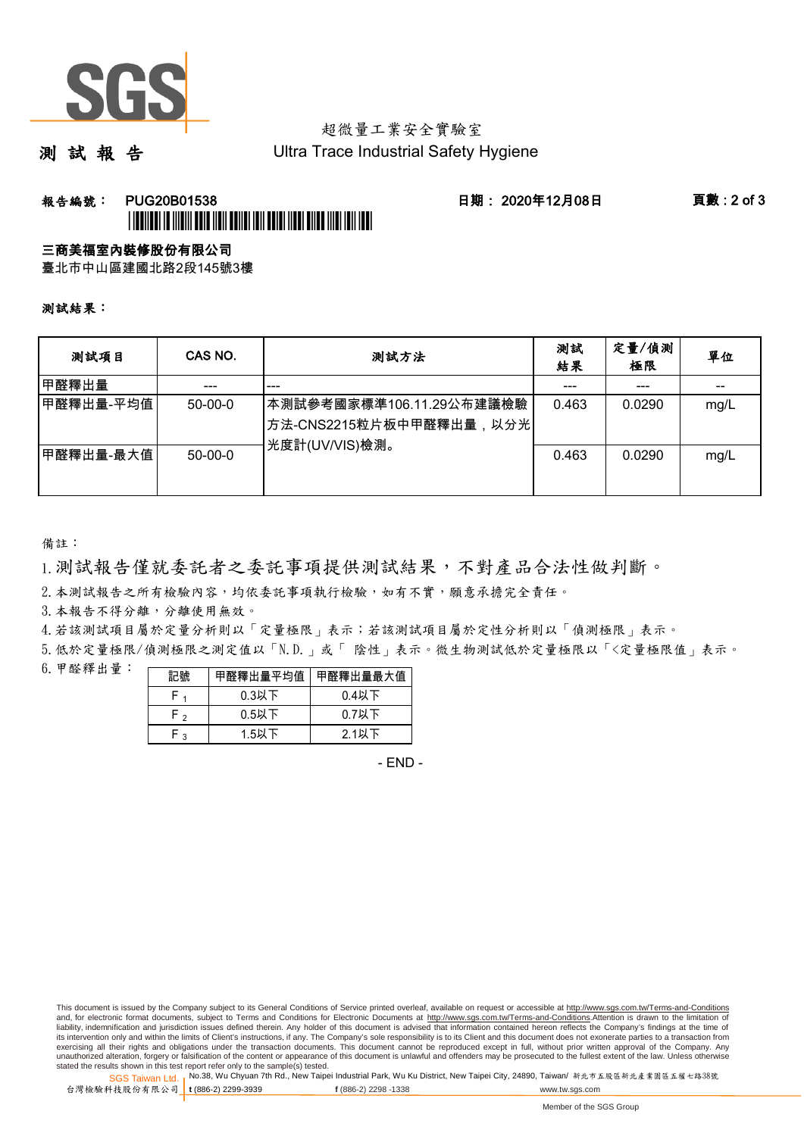

## 超微量工業安全實驗室

測 試 報 告

Ultra Trace Industrial Safety Hygiene

### 報告編號: PUG20B01538 日期: 2020年12月08日 頁數 : 2 of 3 \*PUBLICATION IS INTERFERIENCE INTERFERIENCE INTERFERIENCE INTERFERIENCE INTERFERIENCE INTERFERIENCE INTERFERIE

#### 三商美福室內裝修股份有限公司

臺北市中山區建國北路2段145號3樓

測試結果:

| 测試項目      | CAS NO.   | 測試方法                                                                                | 測試<br>結果 | 定量/偵測<br>極限 | 單位   |
|-----------|-----------|-------------------------------------------------------------------------------------|----------|-------------|------|
| 甲醛釋出量     |           | ---                                                                                 |          |             |      |
| 甲醛釋出量-平均值 | $50-00-0$ | 本測試參考國家標準106.11.29公布建議檢驗<br><sup> </sup> 方法-CNS2215粒片板中甲醛釋出量,以分光 <br>光度計(UV/VIS)檢測。 | 0.463    | 0.0290      | mg/L |
| 甲醛釋出量-最大值 | $50-00-0$ |                                                                                     | 0.463    | 0.0290      | mg/L |

備註:

1.測試報告僅就委託者之委託事項提供測試結果,不對產品合法性做判斷。

2.本測試報告之所有檢驗內容,均依委託事項執行檢驗,如有不實,願意承擔完全責任。

3. 本報告不得分離,分離使用無效。

4.若該測試項目屬於定量分析則以「定量極限」表示;若該測試項目屬於定性分析則以「偵測極限」表示。

5.低於定量極限/偵測極限之測定值以「N.D.」或「 陰性」表示。微生物測試低於定量極限以「<定量極限值」表示。

6.甲醛釋出量:

|                | 甲醛釋出量平均值丨 | 甲醛釋出量最大值 |  |  |
|----------------|-----------|----------|--|--|
|                | $0.3$ 以下  | $0.4$ 以下 |  |  |
| ໍ່             | $0.5$ 以下  | $0.7$ 以下 |  |  |
| $\overline{ }$ | $1.5$ 以下  | 2.1以下    |  |  |

- END -

This document is issued by the Company subject to its General Conditions of Service printed overleaf, available on request or accessible at http://www.sgs.com.tw/Terms-and-Conditions and, for electronic format documents, subject to Terms and Conditions for Electronic Documents at http://www.sgs.com.tw/Terms-and-Conditions.Attention is drawn to the limitation of liability, indemnification and jurisdiction issues defined therein. Any holder of this document is advised that information contained hereon reflects the Company's findings at the time of<br>its intervention only and within t exercising all their rights and obligations under the transaction documents. This document cannot be reproduced except in full, without prior written approval of the Company. Any<br>unauthorized alteration, forgery or falsifi

SGS Taiwan Ltd. 1 stated the results shown in this test report refer only to the sample(s) tested.<br>Stated the results shown in this test report refer only to the sample(s) tested.

台灣檢驗科技股份有限公司

**t** (886-2) 2299-3939 **f** (886-2) 2298 -1338 www.tw.sgs.com